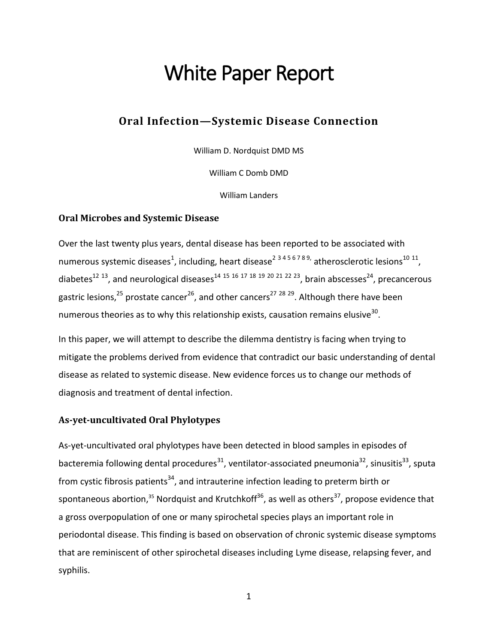# White Paper Report

# **Oral Infection—Systemic Disease Connection**

William D. Nordquist DMD MS

William C Domb DMD

William Landers

# **Oral Microbes and Systemic Disease**

Over the last twenty plus years, dental disease has been reported to be associated with numerous systemic diseases<sup>1</sup>, including, heart disease<sup>2 3 4 5 6 7 8 9, atherosclerotic lesions<sup>10 11</sup>,</sup> diabetes<sup>12 13</sup>, and neurological diseases<sup>14 15 16 17 18 19 20 21 22 23</sup>, brain abscesses<sup>24</sup>, precancerous gastric lesions,<sup>25</sup> prostate cancer<sup>26</sup>, and other cancers<sup>27 28 29</sup>. Although there have been numerous theories as to why this relationship exists, causation remains elusive<sup>30</sup>.

In this paper, we will attempt to describe the dilemma dentistry is facing when trying to mitigate the problems derived from evidence that contradict our basic understanding of dental disease as related to systemic disease. New evidence forces us to change our methods of diagnosis and treatment of dental infection.

# **As-yet-uncultivated Oral Phylotypes**

As-yet-uncultivated oral phylotypes have been detected in blood samples in episodes of bacteremia following dental procedures<sup>31</sup>, ventilator-associated pneumonia<sup>32</sup>, sinusitis<sup>33</sup>, sputa from cystic fibrosis patients<sup>34</sup>, and intrauterine infection leading to preterm birth or spontaneous abortion,<sup>35</sup> Nordquist and Krutchkoff<sup>36</sup>, as well as others<sup>37</sup>, propose evidence that a gross overpopulation of one or many spirochetal species plays an important role in periodontal disease. This finding is based on observation of chronic systemic disease symptoms that are reminiscent of other spirochetal diseases including Lyme disease, relapsing fever, and syphilis.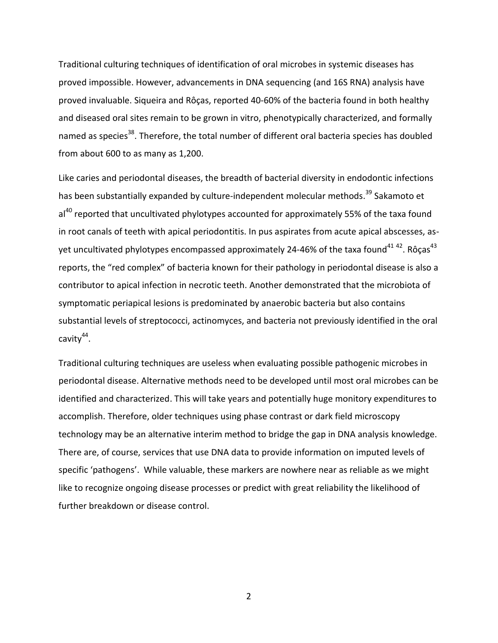Traditional culturing techniques of identification of oral microbes in systemic diseases has proved impossible. However, advancements in DNA sequencing (and 16S RNA) analysis have proved invaluable. Siqueira and Rôças, reported 40-60% of the bacteria found in both healthy and diseased oral sites remain to be grown in vitro, phenotypically characterized, and formally named as species<sup>38</sup>. Therefore, the total number of different oral bacteria species has doubled from about 600 to as many as 1,200.

Like caries and periodontal diseases, the breadth of bacterial diversity in endodontic infections has been substantially expanded by culture-independent molecular methods.<sup>39</sup> Sakamoto et  $al<sup>40</sup>$  reported that uncultivated phylotypes accounted for approximately 55% of the taxa found in root canals of teeth with apical periodontitis. In pus aspirates from acute apical abscesses, asyet uncultivated phylotypes encompassed approximately 24-46% of the taxa found<sup>41 42</sup>. Rôças<sup>43</sup> reports, the "red complex" of bacteria known for their pathology in periodontal disease is also a contributor to apical infection in necrotic teeth. Another demonstrated that the microbiota of symptomatic periapical lesions is predominated by anaerobic bacteria but also contains substantial levels of streptococci, actinomyces, and bacteria not previously identified in the oral cavity<sup>44</sup>.

Traditional culturing techniques are useless when evaluating possible pathogenic microbes in periodontal disease. Alternative methods need to be developed until most oral microbes can be identified and characterized. This will take years and potentially huge monitory expenditures to accomplish. Therefore, older techniques using phase contrast or dark field microscopy technology may be an alternative interim method to bridge the gap in DNA analysis knowledge. There are, of course, services that use DNA data to provide information on imputed levels of specific 'pathogens'. While valuable, these markers are nowhere near as reliable as we might like to recognize ongoing disease processes or predict with great reliability the likelihood of further breakdown or disease control.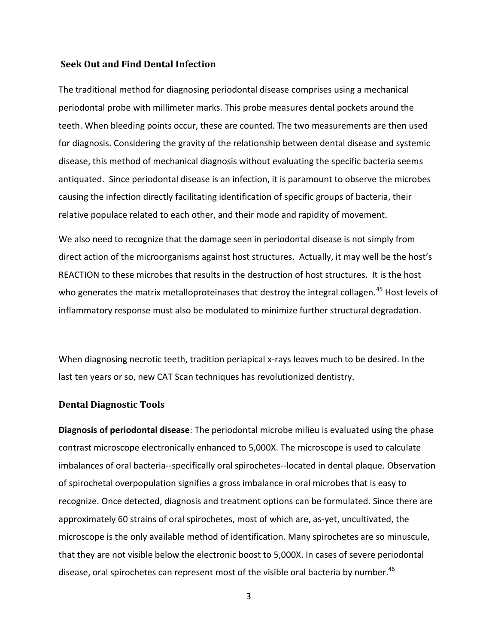# **Seek Out and Find Dental Infection**

The traditional method for diagnosing periodontal disease comprises using a mechanical periodontal probe with millimeter marks. This probe measures dental pockets around the teeth. When bleeding points occur, these are counted. The two measurements are then used for diagnosis. Considering the gravity of the relationship between dental disease and systemic disease, this method of mechanical diagnosis without evaluating the specific bacteria seems antiquated. Since periodontal disease is an infection, it is paramount to observe the microbes causing the infection directly facilitating identification of specific groups of bacteria, their relative populace related to each other, and their mode and rapidity of movement.

We also need to recognize that the damage seen in periodontal disease is not simply from direct action of the microorganisms against host structures. Actually, it may well be the host's REACTION to these microbes that results in the destruction of host structures. It is the host who generates the matrix metalloproteinases that destroy the integral collagen.<sup>45</sup> Host levels of inflammatory response must also be modulated to minimize further structural degradation.

When diagnosing necrotic teeth, tradition periapical x-rays leaves much to be desired. In the last ten years or so, new CAT Scan techniques has revolutionized dentistry.

# **Dental Diagnostic Tools**

**Diagnosis of periodontal disease**: The periodontal microbe milieu is evaluated using the phase contrast microscope electronically enhanced to 5,000X. The microscope is used to calculate imbalances of oral bacteria--specifically oral spirochetes--located in dental plaque. Observation of spirochetal overpopulation signifies a gross imbalance in oral microbes that is easy to recognize. Once detected, diagnosis and treatment options can be formulated. Since there are approximately 60 strains of oral spirochetes, most of which are, as-yet, uncultivated, the microscope is the only available method of identification. Many spirochetes are so minuscule, that they are not visible below the electronic boost to 5,000X. In cases of severe periodontal disease, oral spirochetes can represent most of the visible oral bacteria by number.<sup>46</sup>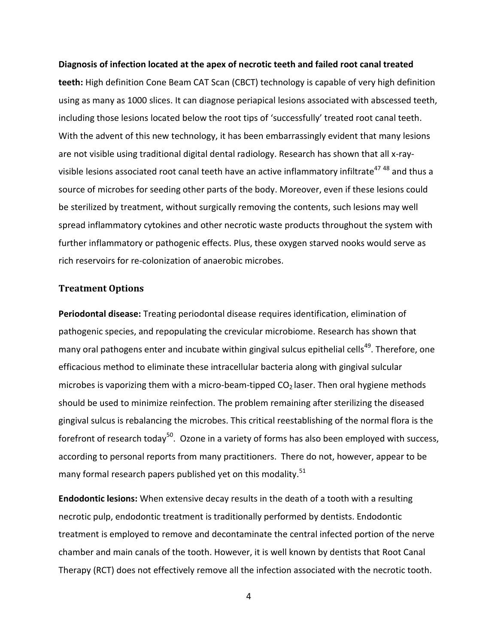#### **Diagnosis of infection located at the apex of necrotic teeth and failed root canal treated**

**teeth:** High definition Cone Beam CAT Scan (CBCT) technology is capable of very high definition using as many as 1000 slices. It can diagnose periapical lesions associated with abscessed teeth, including those lesions located below the root tips of 'successfully' treated root canal teeth. With the advent of this new technology, it has been embarrassingly evident that many lesions are not visible using traditional digital dental radiology. Research has shown that all x-rayvisible lesions associated root canal teeth have an active inflammatory infiltrate<sup>47 48</sup> and thus a source of microbes for seeding other parts of the body. Moreover, even if these lesions could be sterilized by treatment, without surgically removing the contents, such lesions may well spread inflammatory cytokines and other necrotic waste products throughout the system with further inflammatory or pathogenic effects. Plus, these oxygen starved nooks would serve as rich reservoirs for re-colonization of anaerobic microbes.

# **Treatment Options**

**Periodontal disease:** Treating periodontal disease requires identification, elimination of pathogenic species, and repopulating the crevicular microbiome. Research has shown that many oral pathogens enter and incubate within gingival sulcus epithelial cells<sup>49</sup>. Therefore, one efficacious method to eliminate these intracellular bacteria along with gingival sulcular microbes is vaporizing them with a micro-beam-tipped  $CO<sub>2</sub>$  laser. Then oral hygiene methods should be used to minimize reinfection. The problem remaining after sterilizing the diseased gingival sulcus is rebalancing the microbes. This critical reestablishing of the normal flora is the forefront of research today<sup>50</sup>. Ozone in a variety of forms has also been employed with success, according to personal reports from many practitioners. There do not, however, appear to be many formal research papers published yet on this modality.<sup>51</sup>

**Endodontic lesions:** When extensive decay results in the death of a tooth with a resulting necrotic pulp, endodontic treatment is traditionally performed by dentists. Endodontic treatment is employed to remove and decontaminate the central infected portion of the nerve chamber and main canals of the tooth. However, it is well known by dentists that Root Canal Therapy (RCT) does not effectively remove all the infection associated with the necrotic tooth.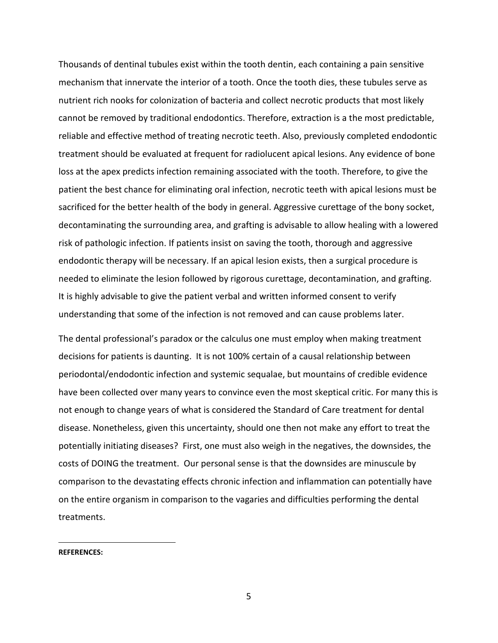Thousands of dentinal tubules exist within the tooth dentin, each containing a pain sensitive mechanism that innervate the interior of a tooth. Once the tooth dies, these tubules serve as nutrient rich nooks for colonization of bacteria and collect necrotic products that most likely cannot be removed by traditional endodontics. Therefore, extraction is a the most predictable, reliable and effective method of treating necrotic teeth. Also, previously completed endodontic treatment should be evaluated at frequent for radiolucent apical lesions. Any evidence of bone loss at the apex predicts infection remaining associated with the tooth. Therefore, to give the patient the best chance for eliminating oral infection, necrotic teeth with apical lesions must be sacrificed for the better health of the body in general. Aggressive curettage of the bony socket, decontaminating the surrounding area, and grafting is advisable to allow healing with a lowered risk of pathologic infection. If patients insist on saving the tooth, thorough and aggressive endodontic therapy will be necessary. If an apical lesion exists, then a surgical procedure is needed to eliminate the lesion followed by rigorous curettage, decontamination, and grafting. It is highly advisable to give the patient verbal and written informed consent to verify understanding that some of the infection is not removed and can cause problems later.

The dental professional's paradox or the calculus one must employ when making treatment decisions for patients is daunting. It is not 100% certain of a causal relationship between periodontal/endodontic infection and systemic sequalae, but mountains of credible evidence have been collected over many years to convince even the most skeptical critic. For many this is not enough to change years of what is considered the Standard of Care treatment for dental disease. Nonetheless, given this uncertainty, should one then not make any effort to treat the potentially initiating diseases? First, one must also weigh in the negatives, the downsides, the costs of DOING the treatment. Our personal sense is that the downsides are minuscule by comparison to the devastating effects chronic infection and inflammation can potentially have on the entire organism in comparison to the vagaries and difficulties performing the dental treatments.

**REFERENCES:**

 $\overline{a}$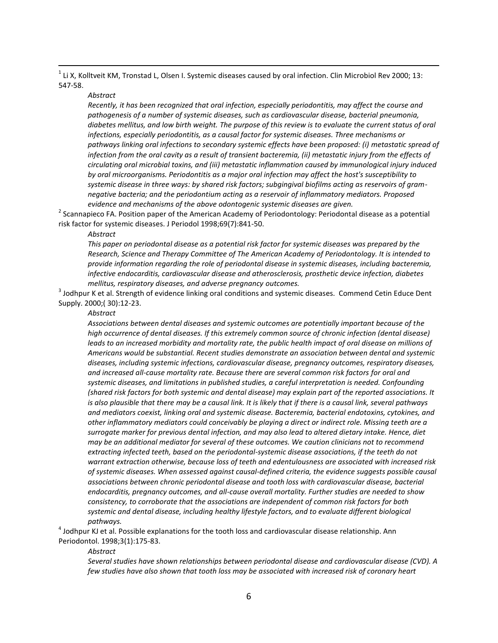$^1$  Li X, Kolltveit KM, Tronstad L, Olsen I. Systemic diseases caused by oral infection. Clin Microbiol Rev 2000; 13: 547-58.

#### *Abstract*

 $\overline{a}$ 

*Recently, it has been recognized that oral infection, especially periodontitis, may affect the course and pathogenesis of a number of systemic diseases, such as cardiovascular disease, bacterial pneumonia, diabetes mellitus, and low birth weight. The purpose of this review is to evaluate the current status of oral infections, especially periodontitis, as a causal factor for systemic diseases. Three mechanisms or pathways linking oral infections to secondary systemic effects have been proposed: (i) metastatic spread of*  infection from the oral cavity as a result of transient bacteremia, (ii) metastatic injury from the effects of *circulating oral microbial toxins, and (iii) metastatic inflammation caused by immunological injury induced by oral microorganisms. Periodontitis as a major oral infection may affect the host's susceptibility to systemic disease in three ways: by shared risk factors; subgingival biofilms acting as reservoirs of gramnegative bacteria; and the periodontium acting as a reservoir of inflammatory mediators. Proposed evidence and mechanisms of the above odontogenic systemic diseases are given.*

<sup>2</sup> Scannapieco FA. Position paper of the American Academy of Periodontology: Periodontal disease as a potential risk factor for systemic diseases. J Periodol 1998;69(7):841-50.

#### *Abstract*

*This paper on periodontal disease as a potential risk factor for systemic diseases was prepared by the Research, Science and Therapy Committee of The American Academy of Periodontology. It is intended to provide information regarding the role of periodontal disease in systemic diseases, including bacteremia, infective endocarditis, cardiovascular disease and atherosclerosis, prosthetic device infection, diabetes mellitus, respiratory diseases, and adverse pregnancy outcomes.*

 $^3$  Jodhpur K et al. Strength of evidence linking oral conditions and systemic diseases. Commend Cetin Educe Dent Supply. 2000;( 30):12-23.

# *Abstract*

*Associations between dental diseases and systemic outcomes are potentially important because of the high occurrence of dental diseases. If this extremely common source of chronic infection (dental disease) leads to an increased morbidity and mortality rate, the public health impact of oral disease on millions of Americans would be substantial. Recent studies demonstrate an association between dental and systemic diseases, including systemic infections, cardiovascular disease, pregnancy outcomes, respiratory diseases, and increased all-cause mortality rate. Because there are several common risk factors for oral and systemic diseases, and limitations in published studies, a careful interpretation is needed. Confounding (shared risk factors for both systemic and dental disease) may explain part of the reported associations. It*  is also plausible that there may be a causal link. It is likely that if there is a causal link, several pathways *and mediators coexist, linking oral and systemic disease. Bacteremia, bacterial endotoxins, cytokines, and other inflammatory mediators could conceivably be playing a direct or indirect role. Missing teeth are a surrogate marker for previous dental infection, and may also lead to altered dietary intake. Hence, diet may be an additional mediator for several of these outcomes. We caution clinicians not to recommend extracting infected teeth, based on the periodontal-systemic disease associations, if the teeth do not warrant extraction otherwise, because loss of teeth and edentulousness are associated with increased risk of systemic diseases. When assessed against causal-defined criteria, the evidence suggests possible causal associations between chronic periodontal disease and tooth loss with cardiovascular disease, bacterial endocarditis, pregnancy outcomes, and all-cause overall mortality. Further studies are needed to show consistency, to corroborate that the associations are independent of common risk factors for both systemic and dental disease, including healthy lifestyle factors, and to evaluate different biological pathways.*

 $^4$  Jodhpur KJ et al. Possible explanations for the tooth loss and cardiovascular disease relationship. Ann Periodontol. 1998;3(1):175-83.

#### *Abstract*

*Several studies have shown relationships between periodontal disease and cardiovascular disease (CVD). A few studies have also shown that tooth loss may be associated with increased risk of coronary heart*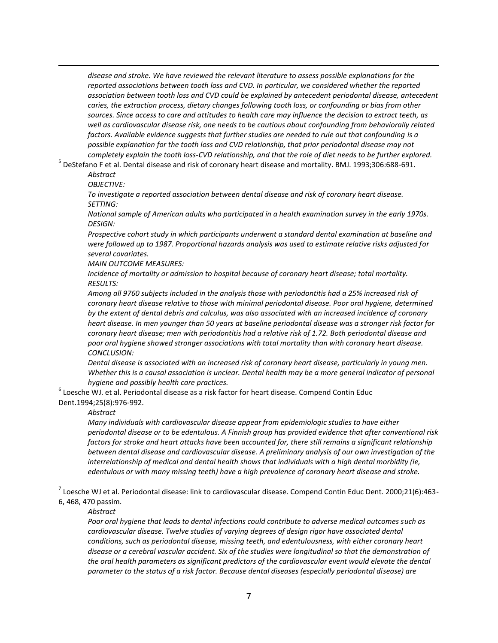*disease and stroke. We have reviewed the relevant literature to assess possible explanations for the reported associations between tooth loss and CVD. In particular, we considered whether the reported association between tooth loss and CVD could be explained by antecedent periodontal disease, antecedent caries, the extraction process, dietary changes following tooth loss, or confounding or bias from other sources. Since access to care and attitudes to health care may influence the decision to extract teeth, as well as cardiovascular disease risk, one needs to be cautious about confounding from behaviorally related factors. Available evidence suggests that further studies are needed to rule out that confounding is a possible explanation for the tooth loss and CVD relationship, that prior periodontal disease may not completely explain the tooth loss-CVD relationship, and that the role of diet needs to be further explored.*

5 DeStefano F et al. Dental disease and risk of coronary heart disease and mortality. BMJ. 1993;306:688-691.

*Abstract*

 $\overline{a}$ 

*OBJECTIVE:* 

*To investigate a reported association between dental disease and risk of coronary heart disease. SETTING:* 

*National sample of American adults who participated in a health examination survey in the early 1970s. DESIGN:* 

*Prospective cohort study in which participants underwent a standard dental examination at baseline and were followed up to 1987. Proportional hazards analysis was used to estimate relative risks adjusted for several covariates.*

*MAIN OUTCOME MEASURES:* 

*Incidence of mortality or admission to hospital because of coronary heart disease; total mortality. RESULTS:* 

*Among all 9760 subjects included in the analysis those with periodontitis had a 25% increased risk of coronary heart disease relative to those with minimal periodontal disease. Poor oral hygiene, determined by the extent of dental debris and calculus, was also associated with an increased incidence of coronary heart disease. In men younger than 50 years at baseline periodontal disease was a stronger risk factor for coronary heart disease; men with periodontitis had a relative risk of 1.72. Both periodontal disease and poor oral hygiene showed stronger associations with total mortality than with coronary heart disease. CONCLUSION:* 

*Dental disease is associated with an increased risk of coronary heart disease, particularly in young men. Whether this is a causal association is unclear. Dental health may be a more general indicator of personal hygiene and possibly health care practices.*

 $^6$  Loesche WJ. et al. Periodontal disease as a risk factor for heart disease. Compend Contin Educ Dent.1994;25(8):976-992.

#### *Abstract*

*Many individuals with cardiovascular disease appear from epidemiologic studies to have either periodontal disease or to be edentulous. A Finnish group has provided evidence that after conventional risk factors for stroke and heart attacks have been accounted for, there still remains a significant relationship between dental disease and cardiovascular disease. A preliminary analysis of our own investigation of the interrelationship of medical and dental health shows that individuals with a high dental morbidity (ie, edentulous or with many missing teeth) have a high prevalence of coronary heart disease and stroke.*

 $^7$  Loesche WJ et al. Periodontal disease: link to cardiovascular disease. Compend Contin Educ Dent. 2000;21(6):463-6, 468, 470 passim.

#### *Abstract*

*Poor oral hygiene that leads to dental infections could contribute to adverse medical outcomes such as cardiovascular disease. Twelve studies of varying degrees of design rigor have associated dental conditions, such as periodontal disease, missing teeth, and edentulousness, with either coronary heart disease or a cerebral vascular accident. Six of the studies were longitudinal so that the demonstration of the oral health parameters as significant predictors of the cardiovascular event would elevate the dental parameter to the status of a risk factor. Because dental diseases (especially periodontal disease) are*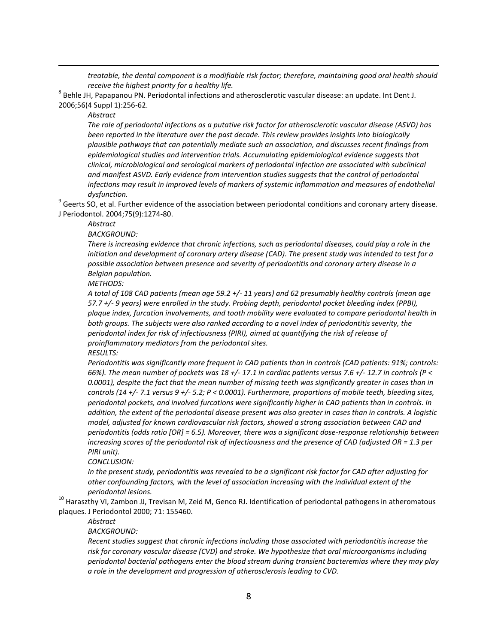*treatable, the dental component is a modifiable risk factor; therefore, maintaining good oral health should receive the highest priority for a healthy life.*

 $^8$  Behle JH, Papapanou PN. Periodontal infections and atherosclerotic vascular disease: an update. Int Dent J. 2006;56(4 Suppl 1):256-62.

*Abstract*

 $\overline{a}$ 

*The role of periodontal infections as a putative risk factor for atherosclerotic vascular disease (ASVD) has been reported in the literature over the past decade. This review provides insights into biologically plausible pathways that can potentially mediate such an association, and discusses recent findings from epidemiological studies and intervention trials. Accumulating epidemiological evidence suggests that clinical, microbiological and serological markers of periodontal infection are associated with subclinical and manifest ASVD. Early evidence from intervention studies suggests that the control of periodontal infections may result in improved levels of markers of systemic inflammation and measures of endothelial dysfunction.*

 $^9$  Geerts SO, et al. Further evidence of the association between periodontal conditions and coronary artery disease. J Periodontol. 2004;75(9):1274-80.

*Abstract*

*BACKGROUND:* 

*There is increasing evidence that chronic infections, such as periodontal diseases, could play a role in the initiation and development of coronary artery disease (CAD). The present study was intended to test for a possible association between presence and severity of periodontitis and coronary artery disease in a Belgian population.*

*METHODS:* 

*A total of 108 CAD patients (mean age 59.2 +/- 11 years) and 62 presumably healthy controls (mean age 57.7 +/- 9 years) were enrolled in the study. Probing depth, periodontal pocket bleeding index (PPBI), plaque index, furcation involvements, and tooth mobility were evaluated to compare periodontal health in both groups. The subjects were also ranked according to a novel index of periodontitis severity, the periodontal index for risk of infectiousness (PIRI), aimed at quantifying the risk of release of proinflammatory mediators from the periodontal sites.*

*RESULTS:* 

*Periodontitis was significantly more frequent in CAD patients than in controls (CAD patients: 91%; controls: 66%). The mean number of pockets was 18 +/- 17.1 in cardiac patients versus 7.6 +/- 12.7 in controls (P < 0.0001), despite the fact that the mean number of missing teeth was significantly greater in cases than in controls (14 +/- 7.1 versus 9 +/- 5.2; P < 0.0001). Furthermore, proportions of mobile teeth, bleeding sites, periodontal pockets, and involved furcations were significantly higher in CAD patients than in controls. In addition, the extent of the periodontal disease present was also greater in cases than in controls. A logistic model, adjusted for known cardiovascular risk factors, showed a strong association between CAD and periodontitis (odds ratio [OR] = 6.5). Moreover, there was a significant dose-response relationship between increasing scores of the periodontal risk of infectiousness and the presence of CAD (adjusted OR = 1.3 per PIRI unit).*

*CONCLUSION:* 

*In the present study, periodontitis was revealed to be a significant risk factor for CAD after adjusting for other confounding factors, with the level of association increasing with the individual extent of the periodontal lesions.*

<sup>10</sup> Haraszthy VI, Zambon JJ, Trevisan M, Zeid M, Genco RJ. Identification of periodontal pathogens in atheromatous plaques. J Periodontol 2000; 71: 155460.

*Abstract*

*BACKGROUND:* 

*Recent studies suggest that chronic infections including those associated with periodontitis increase the risk for coronary vascular disease (CVD) and stroke. We hypothesize that oral microorganisms including periodontal bacterial pathogens enter the blood stream during transient bacteremias where they may play a role in the development and progression of atherosclerosis leading to CVD.*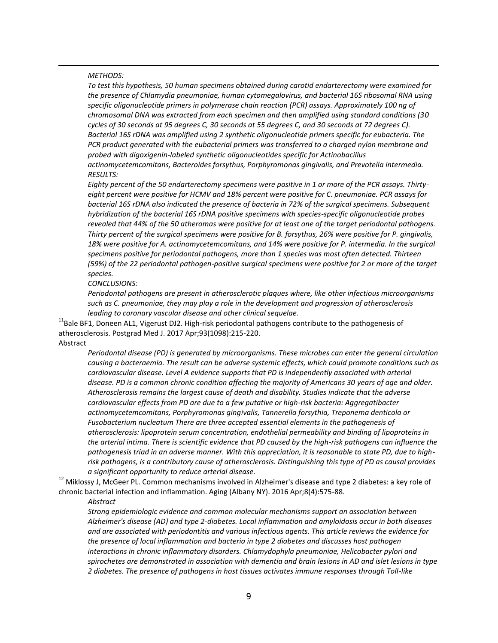#### *METHODS:*

 $\overline{a}$ 

*To test this hypothesis, 50 human specimens obtained during carotid endarterectomy were examined for the presence of Chlamydia pneumoniae, human cytomegalovirus, and bacterial 16S ribosomal RNA using specific oligonucleotide primers in polymerase chain reaction (PCR) assays. Approximately 100 ng of chromosomal DNA was extracted from each specimen and then amplified using standard conditions (30 cycles of 30 seconds at 95 degrees C, 30 seconds at 55 degrees C, and 30 seconds at 72 degrees C). Bacterial 16S rDNA was amplified using 2 synthetic oligonucleotide primers specific for eubacteria. The PCR product generated with the eubacterial primers was transferred to a charged nylon membrane and probed with digoxigenin-labeled synthetic oligonucleotides specific for Actinobacillus* 

*actinomycetemcomitans, Bacteroides forsythus, Porphyromonas gingivalis, and Prevotella intermedia. RESULTS:* 

*Eighty percent of the 50 endarterectomy specimens were positive in 1 or more of the PCR assays. Thirtyeight percent were positive for HCMV and 18% percent were positive for C. pneumoniae. PCR assays for bacterial 16S rDNA also indicated the presence of bacteria in 72% of the surgical specimens. Subsequent hybridization of the bacterial 16S rDNA positive specimens with species-specific oligonucleotide probes revealed that 44% of the 50 atheromas were positive for at least one of the target periodontal pathogens. Thirty percent of the surgical specimens were positive for B. forsythus, 26% were positive for P. gingivalis, 18% were positive for A. actinomycetemcomitans, and 14% were positive for P. intermedia. In the surgical specimens positive for periodontal pathogens, more than 1 species was most often detected. Thirteen (59%) of the 22 periodontal pathogen-positive surgical specimens were positive for 2 or more of the target species.*

#### *CONCLUSIONS:*

*Periodontal pathogens are present in atherosclerotic plaques where, like other infectious microorganisms such as C. pneumoniae, they may play a role in the development and progression of atherosclerosis leading to coronary vascular disease and other clinical sequelae.*

<sup>11</sup>Bale BF1, Doneen AL1, Vigerust DJ2. High-risk periodontal pathogens contribute to the pathogenesis of atherosclerosis. Postgrad Med J. 2017 Apr;93(1098):215-220.

## Abstract

*Periodontal disease (PD) is generated by microorganisms. These microbes can enter the general circulation causing a bacteraemia. The result can be adverse systemic effects, which could promote conditions such as cardiovascular disease. Level A evidence supports that PD is independently associated with arterial disease. PD is a common chronic condition affecting the majority of Americans 30 years of age and older. Atherosclerosis remains the largest cause of death and disability. Studies indicate that the adverse cardiovascular effects from PD are due to a few putative or high-risk bacteria: Aggregatibacter actinomycetemcomitans, Porphyromonas gingivalis, Tannerella forsythia, Treponema denticola or Fusobacterium nucleatum There are three accepted essential elements in the pathogenesis of atherosclerosis: lipoprotein serum concentration, endothelial permeability and binding of lipoproteins in the arterial intima. There is scientific evidence that PD caused by the high-risk pathogens can influence the pathogenesis triad in an adverse manner. With this appreciation, it is reasonable to state PD, due to highrisk pathogens, is a contributory cause of atherosclerosis. Distinguishing this type of PD as causal provides a significant opportunity to reduce arterial disease.* 

<sup>12</sup> Miklossy J, McGeer PL. Common mechanisms involved in Alzheimer's disease and type 2 diabetes: a key role of chronic bacterial infection and inflammation. Aging (Albany NY). 2016 Apr;8(4):575-88.

#### *Abstract*

*Strong epidemiologic evidence and common molecular mechanisms support an association between Alzheimer's disease (AD) and type 2-diabetes. Local inflammation and amyloidosis occur in both diseases and are associated with periodontitis and various infectious agents. This article reviews the evidence for the presence of local inflammation and bacteria in type 2 diabetes and discusses host pathogen interactions in chronic inflammatory disorders. Chlamydophyla pneumoniae, Helicobacter pylori and spirochetes are demonstrated in association with dementia and brain lesions in AD and islet lesions in type 2 diabetes. The presence of pathogens in host tissues activates immune responses through Toll-like*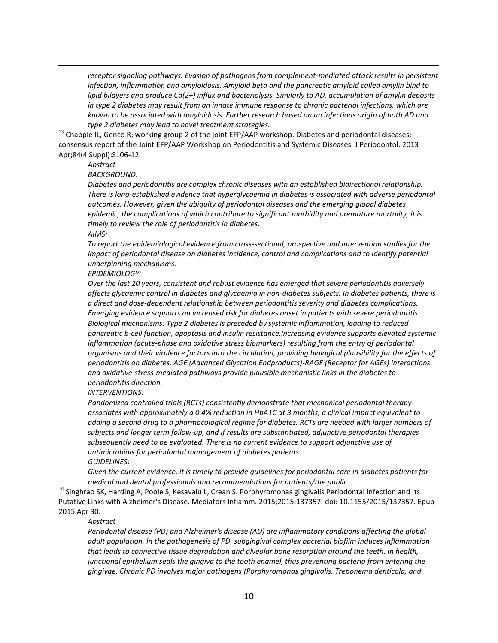*receptor signaling pathways. Evasion of pathogens from complement-mediated attack results in persistent infection, inflammation and amyloidosis. Amyloid beta and the pancreatic amyloid called amylin bind to lipid bilayers and produce Ca(2+) influx and bacteriolysis. Similarly to AD, accumulation of amylin deposits in type 2 diabetes may result from an innate immune response to chronic bacterial infections, which are known to be associated with amyloidosis. Further research based on an infectious origin of both AD and type 2 diabetes may lead to novel treatment strategies.*

 $^{13}$  Chapple IL, Genco R; working group 2 of the joint EFP/AAP workshop. Diabetes and periodontal diseases: consensus report of the Joint EFP/AAP Workshop on Periodontitis and Systemic Diseases. J Periodontol. 2013 Apr;84(4 Suppl):S106-12.

# *Abstract*

 $\overline{a}$ 

#### *BACKGROUND:*

*Diabetes and periodontitis are complex chronic diseases with an established bidirectional relationship. There is long-established evidence that hyperglycaemia in diabetes is associated with adverse periodontal outcomes. However, given the ubiquity of periodontal diseases and the emerging global diabetes epidemic, the complications of which contribute to significant morbidity and premature mortality, it is timely to review the role of periodontitis in diabetes.*

#### *AIMS:*

*To report the epidemiological evidence from cross-sectional, prospective and intervention studies for the impact of periodontal disease on diabetes incidence, control and complications and to identify potential underpinning mechanisms.*

#### *EPIDEMIOLOGY:*

*Over the last 20 years, consistent and robust evidence has emerged that severe periodontitis adversely affects glycaemic control in diabetes and glycaemia in non-diabetes subjects. In diabetes patients, there is a direct and dose-dependent relationship between periodontitis severity and diabetes complications. Emerging evidence supports an increased risk for diabetes onset in patients with severe periodontitis. Biological mechanisms: Type 2 diabetes is preceded by systemic inflammation, leading to reduced pancreatic b-cell function, apoptosis and insulin resistance.Increasing evidence supports elevated systemic inflammation (acute-phase and oxidative stress biomarkers) resulting from the entry of periodontal organisms and their virulence factors into the circulation, providing biological plausibility for the effects of periodontitis on diabetes. AGE (Advanced Glycation Endproducts)-RAGE (Receptor for AGEs) interactions and oxidative-stress-mediated pathways provide plausible mechanistic links in the diabetes to periodontitis direction.*

#### *INTERVENTIONS:*

*Randomized controlled trials (RCTs) consistently demonstrate that mechanical periodontal therapy associates with approximately a 0.4% reduction in HbA1C at 3 months, a clinical impact equivalent to adding a second drug to a pharmacological regime for diabetes. RCTs are needed with larger numbers of subjects and longer term follow-up, and if results are substantiated, adjunctive periodontal therapies subsequently need to be evaluated. There is no current evidence to support adjunctive use of antimicrobials for periodontal management of diabetes patients. GUIDELINES:* 

*Given the current evidence, it is timely to provide guidelines for periodontal care in diabetes patients for medical and dental professionals and recommendations for patients/the public.*

<sup>14</sup> Singhrao SK, Harding A, Poole S, Kesavalu L, Crean S. Porphyromonas gingivalis Periodontal Infection and Its Putative Links with Alzheimer's Disease. Mediators Inflamm. 2015;2015:137357. doi: 10.1155/2015/137357. Epub 2015 Apr 30.

# *Abstract*

*Periodontal disease (PD) and Alzheimer's disease (AD) are inflammatory conditions affecting the global adult population. In the pathogenesis of PD, subgingival complex bacterial biofilm induces inflammation that leads to connective tissue degradation and alveolar bone resorption around the teeth. In health, junctional epithelium seals the gingiva to the tooth enamel, thus preventing bacteria from entering the gingivae. Chronic PD involves major pathogens (Porphyromonas gingivalis, Treponema denticola, and*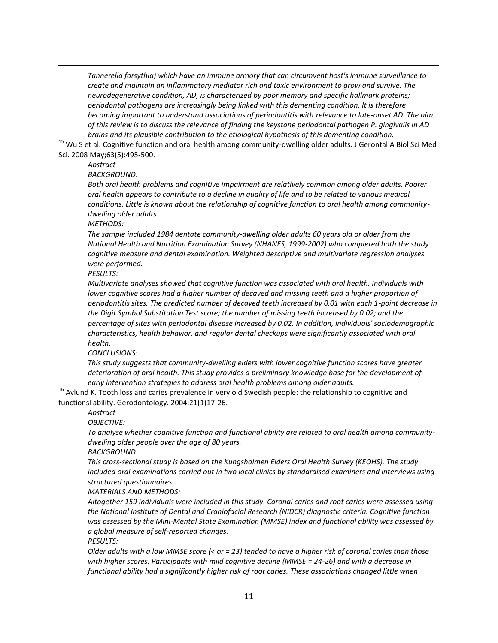*Tannerella forsythia) which have an immune armory that can circumvent host's immune surveillance to create and maintain an inflammatory mediator rich and toxic environment to grow and survive. The neurodegenerative condition, AD, is characterized by poor memory and specific hallmark proteins; periodontal pathogens are increasingly being linked with this dementing condition. It is therefore becoming important to understand associations of periodontitis with relevance to late-onset AD. The aim of this review is to discuss the relevance of finding the keystone periodontal pathogen P. gingivalis in AD brains and its plausible contribution to the etiological hypothesis of this dementing condition.*

 $15$  Wu S et al. Cognitive function and oral health among community-dwelling older adults. J Gerontal A Biol Sci Med Sci. 2008 May;63(5):495-500.

# *Abstract*

 $\overline{a}$ 

*BACKGROUND:* 

*Both oral health problems and cognitive impairment are relatively common among older adults. Poorer oral health appears to contribute to a decline in quality of life and to be related to various medical conditions. Little is known about the relationship of cognitive function to oral health among communitydwelling older adults.*

*METHODS:* 

*The sample included 1984 dentate community-dwelling older adults 60 years old or older from the National Health and Nutrition Examination Survey (NHANES, 1999-2002) who completed both the study cognitive measure and dental examination. Weighted descriptive and multivariate regression analyses were performed.*

*RESULTS:* 

*Multivariate analyses showed that cognitive function was associated with oral health. Individuals with lower cognitive scores had a higher number of decayed and missing teeth and a higher proportion of periodontitis sites. The predicted number of decayed teeth increased by 0.01 with each 1-point decrease in the Digit Symbol Substitution Test score; the number of missing teeth increased by 0.02; and the percentage of sites with periodontal disease increased by 0.02. In addition, individuals' sociodemographic characteristics, health behavior, and regular dental checkups were significantly associated with oral health.*

*CONCLUSIONS:* 

*This study suggests that community-dwelling elders with lower cognitive function scores have greater deterioration of oral health. This study provides a preliminary knowledge base for the development of early intervention strategies to address oral health problems among older adults.*

 $16$  Avlund K. Tooth loss and caries prevalence in very old Swedish people: the relationship to cognitive and functionsl ability. Gerodontology. 2004;21(1)17-26.

*Abstract*

*OBJECTIVE:* 

*To analyse whether cognitive function and functional ability are related to oral health among communitydwelling older people over the age of 80 years.*

*BACKGROUND:* 

*This cross-sectional study is based on the Kungsholmen Elders Oral Health Survey (KEOHS). The study included oral examinations carried out in two local clinics by standardised examiners and interviews using structured questionnaires.*

*MATERIALS AND METHODS:* 

*Altogether 159 individuals were included in this study. Coronal caries and root caries were assessed using the National Institute of Dental and Craniofacial Research (NIDCR) diagnostic criteria. Cognitive function*  was assessed by the Mini-Mental State Examination (MMSE) index and functional ability was assessed by *a global measure of self-reported changes.*

*RESULTS:* 

*Older adults with a low MMSE score (< or = 23) tended to have a higher risk of coronal caries than those with higher scores. Participants with mild cognitive decline (MMSE = 24-26) and with a decrease in functional ability had a significantly higher risk of root caries. These associations changed little when*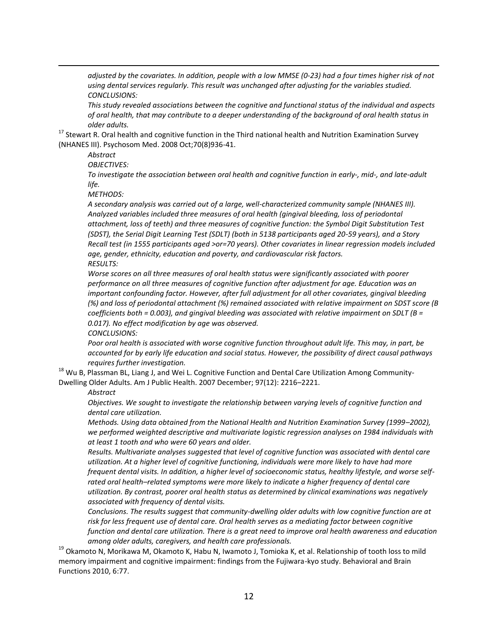*adjusted by the covariates. In addition, people with a low MMSE (0-23) had a four times higher risk of not using dental services regularly. This result was unchanged after adjusting for the variables studied. CONCLUSIONS:* 

*This study revealed associations between the cognitive and functional status of the individual and aspects of oral health, that may contribute to a deeper understanding of the background of oral health status in older adults.*

<sup>17</sup> Stewart R. Oral health and cognitive function in the Third national health and Nutrition Examination Survey (NHANES III). Psychosom Med. 2008 Oct;70(8)936-41.

*Abstract*

 $\overline{a}$ 

*OBJECTIVES:* 

*To investigate the association between oral health and cognitive function in early-, mid-, and late-adult life.*

*METHODS:* 

*A secondary analysis was carried out of a large, well-characterized community sample (NHANES III). Analyzed variables included three measures of oral health (gingival bleeding, loss of periodontal attachment, loss of teeth) and three measures of cognitive function: the Symbol Digit Substitution Test (SDST), the Serial Digit Learning Test (SDLT) (both in 5138 participants aged 20-59 years), and a Story Recall test (in 1555 participants aged >or=70 years). Other covariates in linear regression models included age, gender, ethnicity, education and poverty, and cardiovascular risk factors. RESULTS:* 

*Worse scores on all three measures of oral health status were significantly associated with poorer performance on all three measures of cognitive function after adjustment for age. Education was an important confounding factor. However, after full adjustment for all other covariates, gingival bleeding (%) and loss of periodontal attachment (%) remained associated with relative impairment on SDST score (B coefficients both = 0.003), and gingival bleeding was associated with relative impairment on SDLT (B = 0.017). No effect modification by age was observed.*

*CONCLUSIONS:* 

*Poor oral health is associated with worse cognitive function throughout adult life. This may, in part, be accounted for by early life education and social status. However, the possibility of direct causal pathways requires further investigation.*

<sup>18</sup> Wu B, Plassman BL, Liang J, and Wei L. Cognitive Function and Dental Care Utilization Among Community-Dwelling Older Adults. Am J Public Health. 2007 December; 97(12): 2216–2221.

#### *Abstract*

*Objectives. We sought to investigate the relationship between varying levels of cognitive function and dental care utilization.*

*Methods. Using data obtained from the National Health and Nutrition Examination Survey (1999–2002), we performed weighted descriptive and multivariate logistic regression analyses on 1984 individuals with at least 1 tooth and who were 60 years and older.*

*Results. Multivariate analyses suggested that level of cognitive function was associated with dental care utilization. At a higher level of cognitive functioning, individuals were more likely to have had more frequent dental visits. In addition, a higher level of socioeconomic status, healthy lifestyle, and worse selfrated oral health–related symptoms were more likely to indicate a higher frequency of dental care utilization. By contrast, poorer oral health status as determined by clinical examinations was negatively associated with frequency of dental visits.*

*Conclusions. The results suggest that community-dwelling older adults with low cognitive function are at risk for less frequent use of dental care. Oral health serves as a mediating factor between cognitive function and dental care utilization. There is a great need to improve oral health awareness and education among older adults, caregivers, and health care professionals.*

<sup>19</sup> Okamoto N, Morikawa M, Okamoto K, Habu N, Iwamoto J, Tomioka K, et al. Relationship of tooth loss to mild memory impairment and cognitive impairment: findings from the Fujiwara-kyo study. Behavioral and Brain Functions 2010, 6:77.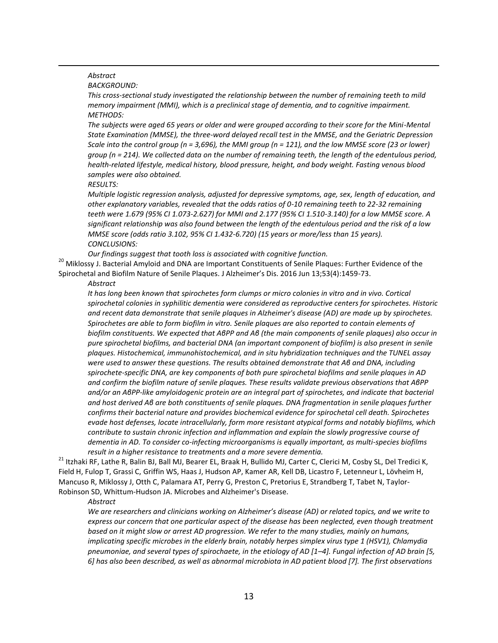# *Abstract*

 $\overline{a}$ 

*BACKGROUND:* 

*This cross-sectional study investigated the relationship between the number of remaining teeth to mild memory impairment (MMI), which is a preclinical stage of dementia, and to cognitive impairment. METHODS:* 

*The subjects were aged 65 years or older and were grouped according to their score for the Mini-Mental State Examination (MMSE), the three-word delayed recall test in the MMSE, and the Geriatric Depression Scale into the control group (n = 3,696), the MMI group (n = 121), and the low MMSE score (23 or lower) group (n = 214). We collected data on the number of remaining teeth, the length of the edentulous period, health-related lifestyle, medical history, blood pressure, height, and body weight. Fasting venous blood samples were also obtained.*

*RESULTS:* 

*Multiple logistic regression analysis, adjusted for depressive symptoms, age, sex, length of education, and other explanatory variables, revealed that the odds ratios of 0-10 remaining teeth to 22-32 remaining teeth were 1.679 (95% CI 1.073-2.627) for MMI and 2.177 (95% CI 1.510-3.140) for a low MMSE score. A significant relationship was also found between the length of the edentulous period and the risk of a low MMSE score (odds ratio 3.102, 95% CI 1.432-6.720) (15 years or more/less than 15 years). CONCLUSIONS:* 

*Our findings suggest that tooth loss is associated with cognitive function.*

<sup>20</sup> Miklossy J. Bacterial Amyloid and DNA are Important Constituents of Senile Plaques: Further Evidence of the Spirochetal and Biofilm Nature of Senile Plaques. J Alzheimer's Dis. 2016 Jun 13;53(4):1459-73.

#### *Abstract*

*It has long been known that spirochetes form clumps or micro colonies in vitro and in vivo. Cortical spirochetal colonies in syphilitic dementia were considered as reproductive centers for spirochetes. Historic and recent data demonstrate that senile plaques in Alzheimer's disease (AD) are made up by spirochetes. Spirochetes are able to form biofilm in vitro. Senile plaques are also reported to contain elements of biofilm constituents. We expected that AβPP and Aβ (the main components of senile plaques) also occur in pure spirochetal biofilms, and bacterial DNA (an important component of biofilm) is also present in senile plaques. Histochemical, immunohistochemical, and in situ hybridization techniques and the TUNEL assay were used to answer these questions. The results obtained demonstrate that Aβ and DNA, including spirochete-specific DNA, are key components of both pure spirochetal biofilms and senile plaques in AD and confirm the biofilm nature of senile plaques. These results validate previous observations that AβPP and/or an AβPP-like amyloidogenic protein are an integral part of spirochetes, and indicate that bacterial and host derived Aβ are both constituents of senile plaques. DNA fragmentation in senile plaques further confirms their bacterial nature and provides biochemical evidence for spirochetal cell death. Spirochetes evade host defenses, locate intracellularly, form more resistant atypical forms and notably biofilms, which contribute to sustain chronic infection and inflammation and explain the slowly progressive course of dementia in AD. To consider co-infecting microorganisms is equally important, as multi-species biofilms result in a higher resistance to treatments and a more severe dementia.*

<sup>21</sup> Itzhaki RF, Lathe R, Balin BJ, Ball MJ, Bearer EL, Braak H, Bullido MJ, Carter C, Clerici M, Cosby SL, Del Tredici K, Field H, Fulop T, Grassi C, Griffin WS, Haas J, Hudson AP, Kamer AR, Kell DB, Licastro F, Letenneur L, Lövheim H, Mancuso R, Miklossy J, Otth C, Palamara AT, Perry G, Preston C, Pretorius E, Strandberg T, Tabet N, Taylor-Robinson SD, Whittum-Hudson JA. Microbes and Alzheimer's Disease.

*Abstract*

*We are researchers and clinicians working on Alzheimer's disease (AD) or related topics, and we write to express our concern that one particular aspect of the disease has been neglected, even though treatment based on it might slow or arrest AD progression. We refer to the many studies, mainly on humans, implicating specific microbes in the elderly brain, notably herpes simplex virus type 1 (HSV1), Chlamydia pneumoniae, and several types of spirochaete, in the etiology of AD [1–4]. Fungal infection of AD brain [5, 6] has also been described, as well as abnormal microbiota in AD patient blood [7]. The first observations*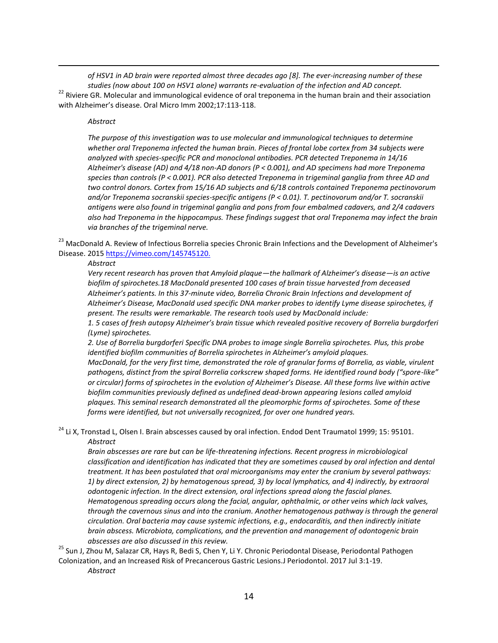*of HSV1 in AD brain were reported almost three decades ago [8]. The ever-increasing number of these studies (now about 100 on HSV1 alone) warrants re-evaluation of the infection and AD concept.* <sup>22</sup> Riviere GR. Molecular and immunological evidence of oral treponema in the human brain and their association with Alzheimer's disease. Oral Micro Imm 2002;17:113-118.

# *Abstract*

 $\overline{a}$ 

*The purpose of this investigation was to use molecular and immunological techniques to determine whether oral Treponema infected the human brain. Pieces of frontal lobe cortex from 34 subjects were analyzed with species-specific PCR and monoclonal antibodies. PCR detected Treponema in 14/16 Alzheimer's disease (AD) and 4/18 non-AD donors (P < 0.001), and AD specimens had more Treponema species than controls (P < 0.001). PCR also detected Treponema in trigeminal ganglia from three AD and two control donors. Cortex from 15/16 AD subjects and 6/18 controls contained Treponema pectinovorum and/or Treponema socranskii species-specific antigens (P < 0.01). T. pectinovorum and/or T. socranskii antigens were also found in trigeminal ganglia and pons from four embalmed cadavers, and 2/4 cadavers also had Treponema in the hippocampus. These findings suggest that oral Treponema may infect the brain via branches of the trigeminal nerve.*

<sup>23</sup> MacDonald A. Review of Infectious Borrelia species Chronic Brain Infections and the Development of Alzheimer's Disease. 2015<https://vimeo.com/145745120.>

#### *Abstract*

*Very recent research has proven that Amyloid plaque—the hallmark of Alzheimer's disease—is an active biofilm of spirochetes.18 MacDonald presented 100 cases of brain tissue harvested from deceased Alzheimer's patients. In this 37-minute video, Borrelia Chronic Brain Infections and development of Alzheimer's Disease, MacDonald used specific DNA marker probes to identify Lyme disease spirochetes, if present. The results were remarkable. The research tools used by MacDonald include:*

*1. 5 cases of fresh autopsy Alzheimer's brain tissue which revealed positive recovery of Borrelia burgdorferi (Lyme) spirochetes.*

*2. Use of Borrelia burgdorferi Specific DNA probes to image single Borrelia spirochetes. Plus, this probe identified biofilm communities of Borrelia spirochetes in Alzheimer's amyloid plaques.*

*MacDonald, for the very first time, demonstrated the role of granular forms of Borrelia, as viable, virulent pathogens, distinct from the spiral Borrelia corkscrew shaped forms. He identified round body ("spore-like" or circular) forms of spirochetes in the evolution of Alzheimer's Disease. All these forms live within active biofilm communities previously defined as undefined dead-brown appearing lesions called amyloid plaques. This seminal research demonstrated all the pleomorphic forms of spirochetes. Some of these forms were identified, but not universally recognized, for over one hundred years.*

<sup>24</sup> Li X, Tronstad L, Olsen I. Brain abscesses caused by oral infection. Endod Dent Traumatol 1999; 15: 95101. *Abstract*

*Brain abscesses are rare but can be life-threatening infections. Recent progress in microbiological classification and identification has indicated that they are sometimes caused by oral infection and dental treatment. It has been postulated that oral microorganisms may enter the cranium by several pathways: 1) by direct extension, 2) by hematogenous spread, 3) by local lymphatics, and 4) indirectly, by extraoral odontogenic infection. In the direct extension, oral infections spread along the fascial planes. Hematogenous spreading occurs along the facial, angular, ophthalmic, or other veins which lack valves, through the cavernous sinus and into the cranium. Another hematogenous pathway is through the general circulation. Oral bacteria may cause systemic infections, e.g., endocarditis, and then indirectly initiate brain abscess. Microbiota, complications, and the prevention and management of odontogenic brain abscesses are also discussed in this review.*

<sup>25</sup> Sun J, Zhou M, Salazar CR, Hays R, Bedi S, Chen Y, Li Y. Chronic Periodontal Disease, Periodontal Pathogen Colonization, and an Increased Risk of Precancerous Gastric Lesions.J Periodontol. 2017 Jul 3:1-19.

*Abstract*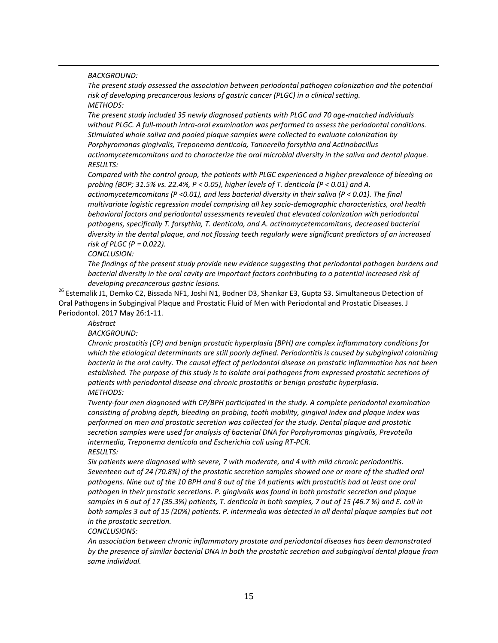*BACKGROUND:* 

 $\overline{a}$ 

*The present study assessed the association between periodontal pathogen colonization and the potential risk of developing precancerous lesions of gastric cancer (PLGC) in a clinical setting. METHODS:* 

*The present study included 35 newly diagnosed patients with PLGC and 70 age-matched individuals without PLGC. A full-mouth intra-oral examination was performed to assess the periodontal conditions. Stimulated whole saliva and pooled plaque samples were collected to evaluate colonization by Porphyromonas gingivalis, Treponema denticola, Tannerella forsythia and Actinobacillus actinomycetemcomitans and to characterize the oral microbial diversity in the saliva and dental plaque. RESULTS:* 

*Compared with the control group, the patients with PLGC experienced a higher prevalence of bleeding on probing (BOP; 31.5% vs. 22.4%, P < 0.05), higher levels of T. denticola (P < 0.01) and A. actinomycetemcomitans (P <0.01), and less bacterial diversity in their saliva (P < 0.01). The final multivariate logistic regression model comprising all key socio-demographic characteristics, oral health behavioral factors and periodontal assessments revealed that elevated colonization with periodontal pathogens, specifically T. forsythia, T. denticola, and A. actinomycetemcomitans, decreased bacterial diversity in the dental plaque, and not flossing teeth regularly were significant predictors of an increased risk of PLGC (P = 0.022).* 

*CONCLUSION:* 

*The findings of the present study provide new evidence suggesting that periodontal pathogen burdens and bacterial diversity in the oral cavity are important factors contributing to a potential increased risk of developing precancerous gastric lesions.*

<sup>26</sup> Estemalik J1, Demko C2, Bissada NF1, Joshi N1, Bodner D3, Shankar E3, Gupta S3. Simultaneous Detection of Oral Pathogens in Subgingival Plaque and Prostatic Fluid of Men with Periodontal and Prostatic Diseases. J Periodontol. 2017 May 26:1-11.

*Abstract*

*BACKGROUND:* 

*Chronic prostatitis (CP) and benign prostatic hyperplasia (BPH) are complex inflammatory conditions for*  which the etiological determinants are still poorly defined. Periodontitis is caused by subgingival colonizing *bacteria in the oral cavity. The causal effect of periodontal disease on prostatic inflammation has not been established. The purpose of this study is to isolate oral pathogens from expressed prostatic secretions of patients with periodontal disease and chronic prostatitis or benign prostatic hyperplasia. METHODS:* 

*Twenty-four men diagnosed with CP/BPH participated in the study. A complete periodontal examination consisting of probing depth, bleeding on probing, tooth mobility, gingival index and plaque index was performed on men and prostatic secretion was collected for the study. Dental plaque and prostatic secretion samples were used for analysis of bacterial DNA for Porphyromonas gingivalis, Prevotella intermedia, Treponema denticola and Escherichia coli using RT-PCR. RESULTS:* 

*Six patients were diagnosed with severe, 7 with moderate, and 4 with mild chronic periodontitis. Seventeen out of 24 (70.8%) of the prostatic secretion samples showed one or more of the studied oral pathogens. Nine out of the 10 BPH and 8 out of the 14 patients with prostatitis had at least one oral pathogen in their prostatic secretions. P. gingivalis was found in both prostatic secretion and plaque samples in 6 out of 17 (35.3%) patients, T. denticola in both samples, 7 out of 15 (46.7 %) and E. coli in*  both samples 3 out of 15 (20%) patients. P. intermedia was detected in all dental plaque samples but not *in the prostatic secretion.*

*CONCLUSIONS:* 

*An association between chronic inflammatory prostate and periodontal diseases has been demonstrated by the presence of similar bacterial DNA in both the prostatic secretion and subgingival dental plaque from same individual.*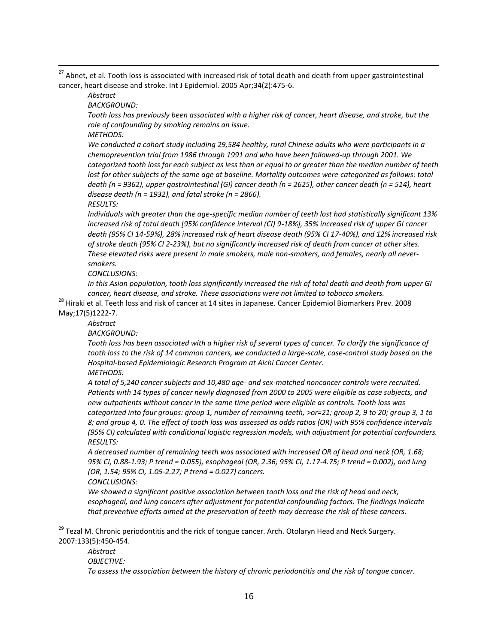$^{27}$  Abnet, et al. Tooth loss is associated with increased risk of total death and death from upper gastrointestinal cancer, heart disease and stroke. Int J Epidemiol. 2005 Apr;34(2(:475-6.

*Abstract*

 $\overline{a}$ 

*BACKGROUND:* 

*Tooth loss has previously been associated with a higher risk of cancer, heart disease, and stroke, but the role of confounding by smoking remains an issue.*

*METHODS:* 

*We conducted a cohort study including 29,584 healthy, rural Chinese adults who were participants in a chemoprevention trial from 1986 through 1991 and who have been followed-up through 2001. We categorized tooth loss for each subject as less than or equal to or greater than the median number of teeth lost for other subjects of the same age at baseline. Mortality outcomes were categorized as follows: total death (n = 9362), upper gastrointestinal (GI) cancer death (n = 2625), other cancer death (n = 514), heart disease death (n = 1932), and fatal stroke (n = 2866).*

*RESULTS:* 

*Individuals with greater than the age-specific median number of teeth lost had statistically significant 13% increased risk of total death [95% confidence interval (CI) 9-18%], 35% increased risk of upper GI cancer death (95% CI 14-59%), 28% increased risk of heart disease death (95% CI 17-40%), and 12% increased risk of stroke death (95% CI 2-23%), but no significantly increased risk of death from cancer at other sites. These elevated risks were present in male smokers, male non-smokers, and females, nearly all neversmokers.*

*CONCLUSIONS:* 

*In this Asian population, tooth loss significantly increased the risk of total death and death from upper GI cancer, heart disease, and stroke. These associations were not limited to tobacco smokers.*

<sup>28</sup> Hiraki et al. Teeth loss and risk of cancer at 14 sites in Japanese. Cancer Epidemiol Biomarkers Prev. 2008 May;17(5)1222-7.

*Abstract*

*BACKGROUND:* 

*Tooth loss has been associated with a higher risk of several types of cancer. To clarify the significance of tooth loss to the risk of 14 common cancers, we conducted a large-scale, case-control study based on the Hospital-based Epidemiologic Research Program at Aichi Cancer Center.*

*METHODS:* 

*A total of 5,240 cancer subjects and 10,480 age- and sex-matched noncancer controls were recruited. Patients with 14 types of cancer newly diagnosed from 2000 to 2005 were eligible as case subjects, and new outpatients without cancer in the same time period were eligible as controls. Tooth loss was categorized into four groups: group 1, number of remaining teeth, >or=21; group 2, 9 to 20; group 3, 1 to 8; and group 4, 0. The effect of tooth loss was assessed as odds ratios (OR) with 95% confidence intervals (95% CI) calculated with conditional logistic regression models, with adjustment for potential confounders. RESULTS:* 

*A decreased number of remaining teeth was associated with increased OR of head and neck (OR, 1.68; 95% CI, 0.88-1.93; P trend = 0.055), esophageal (OR, 2.36; 95% CI, 1.17-4.75; P trend = 0.002), and lung (OR, 1.54; 95% CI, 1.05-2.27; P trend = 0.027) cancers.*

*CONCLUSIONS:* 

*We showed a significant positive association between tooth loss and the risk of head and neck, esophageal, and lung cancers after adjustment for potential confounding factors. The findings indicate that preventive efforts aimed at the preservation of teeth may decrease the risk of these cancers.*

<sup>29</sup> Tezal M. Chronic periodontitis and the rick of tongue cancer. Arch. Otolaryn Head and Neck Surgery. 2007:133(5):450-454.

*Abstract OBJECTIVE: To assess the association between the history of chronic periodontitis and the risk of tongue cancer.*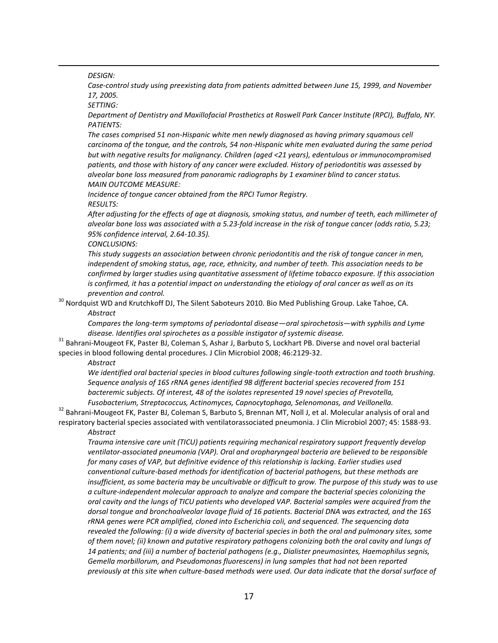*DESIGN:* 

 $\overline{a}$ 

*Case-control study using preexisting data from patients admitted between June 15, 1999, and November 17, 2005.*

*SETTING:* 

*Department of Dentistry and Maxillofacial Prosthetics at Roswell Park Cancer Institute (RPCI), Buffalo, NY. PATIENTS:* 

*The cases comprised 51 non-Hispanic white men newly diagnosed as having primary squamous cell carcinoma of the tongue, and the controls, 54 non-Hispanic white men evaluated during the same period but with negative results for malignancy. Children (aged <21 years), edentulous or immunocompromised patients, and those with history of any cancer were excluded. History of periodontitis was assessed by alveolar bone loss measured from panoramic radiographs by 1 examiner blind to cancer status. MAIN OUTCOME MEASURE:* 

*Incidence of tongue cancer obtained from the RPCI Tumor Registry. RESULTS:* 

*After adjusting for the effects of age at diagnosis, smoking status, and number of teeth, each millimeter of alveolar bone loss was associated with a 5.23-fold increase in the risk of tongue cancer (odds ratio, 5.23; 95% confidence interval, 2.64-10.35).*

*CONCLUSIONS:* 

*This study suggests an association between chronic periodontitis and the risk of tongue cancer in men, independent of smoking status, age, race, ethnicity, and number of teeth. This association needs to be confirmed by larger studies using quantitative assessment of lifetime tobacco exposure. If this association is confirmed, it has a potential impact on understanding the etiology of oral cancer as well as on its prevention and control.*

<sup>30</sup> Nordquist WD and Krutchkoff DJ, The Silent Saboteurs 2010. Bio Med Publishing Group. Lake Tahoe, CA. *Abstract*

*Compares the long-term symptoms of periodontal disease—oral spirochetosis—with syphilis and Lyme disease. Identifies oral spirochetes as a possible instigator of systemic disease.*

<sup>31</sup> Bahrani-Mougeot FK, Paster BJ, Coleman S, Ashar J, Barbuto S, Lockhart PB. Diverse and novel oral bacterial species in blood following dental procedures. J Clin Microbiol 2008; 46:2129-32.

*Abstract*

*We identified oral bacterial species in blood cultures following single-tooth extraction and tooth brushing. Sequence analysis of 16S rRNA genes identified 98 different bacterial species recovered from 151 bacteremic subjects. Of interest, 48 of the isolates represented 19 novel species of Prevotella, Fusobacterium, Streptococcus, Actinomyces, Capnocytophaga, Selenomonas, and Veillonella.*

<sup>32</sup> Bahrani-Mougeot FK, Paster BJ, Coleman S, Barbuto S, Brennan MT, Noll J, et al. Molecular analysis of oral and respiratory bacterial species associated with ventilatorassociated pneumonia. J Clin Microbiol 2007; 45: 1588-93. *Abstract*

*Trauma intensive care unit (TICU) patients requiring mechanical respiratory support frequently develop ventilator-associated pneumonia (VAP). Oral and oropharyngeal bacteria are believed to be responsible for many cases of VAP, but definitive evidence of this relationship is lacking. Earlier studies used conventional culture-based methods for identification of bacterial pathogens, but these methods are insufficient, as some bacteria may be uncultivable or difficult to grow. The purpose of this study was to use a culture-independent molecular approach to analyze and compare the bacterial species colonizing the oral cavity and the lungs of TICU patients who developed VAP. Bacterial samples were acquired from the dorsal tongue and bronchoalveolar lavage fluid of 16 patients. Bacterial DNA was extracted, and the 16S rRNA genes were PCR amplified, cloned into Escherichia coli, and sequenced. The sequencing data revealed the following: (i) a wide diversity of bacterial species in both the oral and pulmonary sites, some of them novel; (ii) known and putative respiratory pathogens colonizing both the oral cavity and lungs of 14 patients; and (iii) a number of bacterial pathogens (e.g., Dialister pneumosintes, Haemophilus segnis, Gemella morbillorum, and Pseudomonas fluorescens) in lung samples that had not been reported previously at this site when culture-based methods were used. Our data indicate that the dorsal surface of*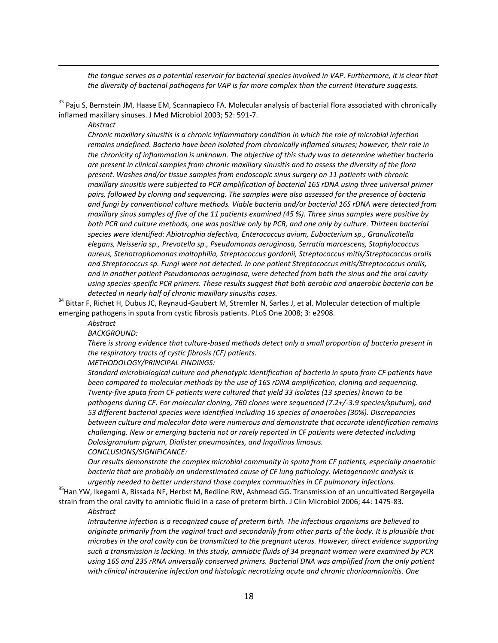the tongue serves as a potential reservoir for bacterial species involved in VAP. Furthermore, it is clear that *the diversity of bacterial pathogens for VAP is far more complex than the current literature suggests.*

<sup>33</sup> Paiu S, Bernstein JM, Haase EM, Scannapieco FA. Molecular analysis of bacterial flora associated with chronically inflamed maxillary sinuses. J Med Microbiol 2003; 52: 591-7.

*Abstract*

 $\overline{a}$ 

*Chronic maxillary sinusitis is a chronic inflammatory condition in which the role of microbial infection remains undefined. Bacteria have been isolated from chronically inflamed sinuses; however, their role in the chronicity of inflammation is unknown. The objective of this study was to determine whether bacteria are present in clinical samples from chronic maxillary sinusitis and to assess the diversity of the flora present. Washes and/or tissue samples from endoscopic sinus surgery on 11 patients with chronic maxillary sinusitis were subjected to PCR amplification of bacterial 16S rDNA using three universal primer pairs, followed by cloning and sequencing. The samples were also assessed for the presence of bacteria and fungi by conventional culture methods. Viable bacteria and/or bacterial 16S rDNA were detected from maxillary sinus samples of five of the 11 patients examined (45 %). Three sinus samples were positive by*  both PCR and culture methods, one was positive only by PCR, and one only by culture. Thirteen bacterial *species were identified: Abiotrophia defectiva, Enterococcus avium, Eubacterium sp., Granulicatella elegans, Neisseria sp., Prevotella sp., Pseudomonas aeruginosa, Serratia marcescens, Staphylococcus aureus, Stenotrophomonas maltophilia, Streptococcus gordonii, Streptococcus mitis/Streptococcus oralis and Streptococcus sp. Fungi were not detected. In one patient Streptococcus mitis/Streptococcus oralis, and in another patient Pseudomonas aeruginosa, were detected from both the sinus and the oral cavity using species-specific PCR primers. These results suggest that both aerobic and anaerobic bacteria can be detected in nearly half of chronic maxillary sinusitis cases.*

<sup>34</sup> Bittar F, Richet H, Dubus JC, Reynaud-Gaubert M, Stremler N, Sarles J, et al. Molecular detection of multiple emerging pathogens in sputa from cystic fibrosis patients. PLoS One 2008; 3: e2908.

*Abstract*

*BACKGROUND:* 

*There is strong evidence that culture-based methods detect only a small proportion of bacteria present in the respiratory tracts of cystic fibrosis (CF) patients.*

*METHODOLOGY/PRINCIPAL FINDINGS:* 

*Standard microbiological culture and phenotypic identification of bacteria in sputa from CF patients have been compared to molecular methods by the use of 16S rDNA amplification, cloning and sequencing. Twenty-five sputa from CF patients were cultured that yield 33 isolates (13 species) known to be pathogens during CF. For molecular cloning, 760 clones were sequenced (7.2+/-3.9 species/sputum), and 53 different bacterial species were identified including 16 species of anaerobes (30%). Discrepancies between culture and molecular data were numerous and demonstrate that accurate identification remains challenging. New or emerging bacteria not or rarely reported in CF patients were detected including Dolosigranulum pigrum, Dialister pneumosintes, and Inquilinus limosus. CONCLUSIONS/SIGNIFICANCE:* 

*Our results demonstrate the complex microbial community in sputa from CF patients, especially anaerobic bacteria that are probably an underestimated cause of CF lung pathology. Metagenomic analysis is urgently needed to better understand those complex communities in CF pulmonary infections.*

<sup>35</sup>Han YW, Ikegami A, Bissada NF, Herbst M, Redline RW, Ashmead GG. Transmission of an uncultivated Bergeyella strain from the oral cavity to amniotic fluid in a case of preterm birth. J Clin Microbiol 2006; 44: 1475-83.

#### *Abstract*

*Intrauterine infection is a recognized cause of preterm birth. The infectious organisms are believed to originate primarily from the vaginal tract and secondarily from other parts of the body. It is plausible that microbes in the oral cavity can be transmitted to the pregnant uterus. However, direct evidence supporting such a transmission is lacking. In this study, amniotic fluids of 34 pregnant women were examined by PCR using 16S and 23S rRNA universally conserved primers. Bacterial DNA was amplified from the only patient with clinical intrauterine infection and histologic necrotizing acute and chronic chorioamnionitis. One*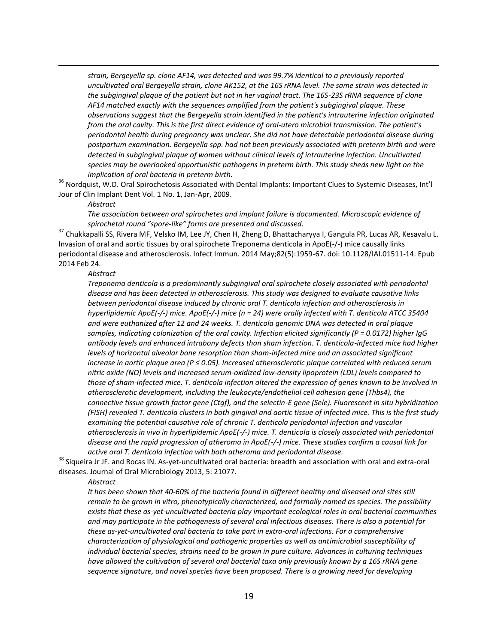*strain, Bergeyella sp. clone AF14, was detected and was 99.7% identical to a previously reported uncultivated oral Bergeyella strain, clone AK152, at the 16S rRNA level. The same strain was detected in the subgingival plaque of the patient but not in her vaginal tract. The 16S-23S rRNA sequence of clone AF14 matched exactly with the sequences amplified from the patient's subgingival plaque. These observations suggest that the Bergeyella strain identified in the patient's intrauterine infection originated from the oral cavity. This is the first direct evidence of oral-utero microbial transmission. The patient's periodontal health during pregnancy was unclear. She did not have detectable periodontal disease during postpartum examination. Bergeyella spp. had not been previously associated with preterm birth and were detected in subgingival plaque of women without clinical levels of intrauterine infection. Uncultivated species may be overlooked opportunistic pathogens in preterm birth. This study sheds new light on the implication of oral bacteria in preterm birth.*

<sup>36</sup> Nordquist, W.D. Oral Spirochetosis Associated with Dental Implants: Important Clues to Systemic Diseases, Int'l Jour of Clin Implant Dent Vol. 1 No. 1, Jan-Apr, 2009.

*Abstract*

 $\overline{a}$ 

*The association between oral spirochetes and implant failure is documented. Microscopic evidence of spirochetal round "spore-like" forms are presented and discussed.*

<sup>37</sup> Chukkapalli SS, Rivera MF, Velsko IM, Lee JY, Chen H, Zheng D, Bhattacharyya I, Gangula PR, Lucas AR, Kesavalu L. Invasion of oral and aortic tissues by oral spirochete Treponema denticola in ApoE(-/-) mice causally links periodontal disease and atherosclerosis. Infect Immun. 2014 May;82(5):1959-67. doi: 10.1128/IAI.01511-14. Epub 2014 Feb 24.

#### *Abstract*

*Treponema denticola is a predominantly subgingival oral spirochete closely associated with periodontal disease and has been detected in atherosclerosis. This study was designed to evaluate causative links between periodontal disease induced by chronic oral T. denticola infection and atherosclerosis in hyperlipidemic ApoE(-/-) mice. ApoE(-/-) mice (n = 24) were orally infected with T. denticola ATCC 35404 and were euthanized after 12 and 24 weeks. T. denticola genomic DNA was detected in oral plaque samples, indicating colonization of the oral cavity. Infection elicited significantly (P = 0.0172) higher IgG antibody levels and enhanced intrabony defects than sham infection. T. denticola-infected mice had higher levels of horizontal alveolar bone resorption than sham-infected mice and an associated significant increase in aortic plaque area (P ≤ 0.05). Increased atherosclerotic plaque correlated with reduced serum nitric oxide (NO) levels and increased serum-oxidized low-density lipoprotein (LDL) levels compared to those of sham-infected mice. T. denticola infection altered the expression of genes known to be involved in atherosclerotic development, including the leukocyte/endothelial cell adhesion gene (Thbs4), the connective tissue growth factor gene (Ctgf), and the selectin-E gene (Sele). Fluorescent in situ hybridization (FISH) revealed T. denticola clusters in both gingival and aortic tissue of infected mice. This is the first study examining the potential causative role of chronic T. denticola periodontal infection and vascular atherosclerosis in vivo in hyperlipidemic ApoE(-/-) mice. T. denticola is closely associated with periodontal disease and the rapid progression of atheroma in ApoE(-/-) mice. These studies confirm a causal link for active oral T. denticola infection with both atheroma and periodontal disease.*

<sup>38</sup> Siqueira Jr JF. and Rocas IN. As-yet-uncultivated oral bacteria: breadth and association with oral and extra-oral diseases. Journal of Oral Microbiology 2013, 5: 21077.

#### *Abstract*

*It has been shown that 40-60% of the bacteria found in different healthy and diseased oral sites still remain to be grown in vitro, phenotypically characterized, and formally named as species. The possibility exists that these as-yet-uncultivated bacteria play important ecological roles in oral bacterial communities and may participate in the pathogenesis of several oral infectious diseases. There is also a potential for these as-yet-uncultivated oral bacteria to take part in extra-oral infections. For a comprehensive characterization of physiological and pathogenic properties as well as antimicrobial susceptibility of individual bacterial species, strains need to be grown in pure culture. Advances in culturing techniques have allowed the cultivation of several oral bacterial taxa only previously known by a 16S rRNA gene sequence signature, and novel species have been proposed. There is a growing need for developing*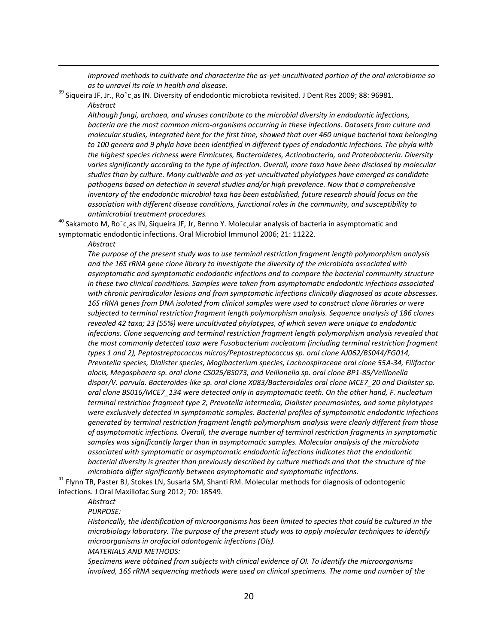*improved methods to cultivate and characterize the as-yet-uncultivated portion of the oral microbiome so as to unravel its role in health and disease.*

 $^{39}$  Siqueira JF, Jr., Ro^c,as IN. Diversity of endodontic microbiota revisited. J Dent Res 2009; 88: 96981. *Abstract*

*Although fungi, archaea, and viruses contribute to the microbial diversity in endodontic infections, bacteria are the most common micro-organisms occurring in these infections. Datasets from culture and molecular studies, integrated here for the first time, showed that over 460 unique bacterial taxa belonging to 100 genera and 9 phyla have been identified in different types of endodontic infections. The phyla with the highest species richness were Firmicutes, Bacteroidetes, Actinobacteria, and Proteobacteria. Diversity*  varies significantly according to the type of infection. Overall, more taxa have been disclosed by molecular *studies than by culture. Many cultivable and as-yet-uncultivated phylotypes have emerged as candidate pathogens based on detection in several studies and/or high prevalence. Now that a comprehensive inventory of the endodontic microbial taxa has been established, future research should focus on the association with different disease conditions, functional roles in the community, and susceptibility to antimicrobial treatment procedures.*

 $^{40}$  Sakamoto M, Ro^c as IN, Siqueira JF, Jr, Benno Y. Molecular analysis of bacteria in asymptomatic and symptomatic endodontic infections. Oral Microbiol Immunol 2006; 21: 11222.

*Abstract*

 $\overline{a}$ 

*The purpose of the present study was to use terminal restriction fragment length polymorphism analysis and the 16S rRNA gene clone library to investigate the diversity of the microbiota associated with asymptomatic and symptomatic endodontic infections and to compare the bacterial community structure in these two clinical conditions. Samples were taken from asymptomatic endodontic infections associated with chronic periradicular lesions and from symptomatic infections clinically diagnosed as acute abscesses. 16S rRNA genes from DNA isolated from clinical samples were used to construct clone libraries or were subjected to terminal restriction fragment length polymorphism analysis. Sequence analysis of 186 clones revealed 42 taxa; 23 (55%) were uncultivated phylotypes, of which seven were unique to endodontic infections. Clone sequencing and terminal restriction fragment length polymorphism analysis revealed that the most commonly detected taxa were Fusobacterium nucleatum (including terminal restriction fragment types 1 and 2), Peptostreptococcus micros/Peptostreptococcus sp. oral clone AJ062/BS044/FG014, Prevotella species, Dialister species, Mogibacterium species, Lachnospiraceae oral clone 55A-34, Filifactor alocis, Megasphaera sp. oral clone CS025/BS073, and Veillonella sp. oral clone BP1-85/Veillonella dispar/V. parvula. Bacteroides-like sp. oral clone X083/Bacteroidales oral clone MCE7\_20 and Dialister sp. oral clone BS016/MCE7\_134 were detected only in asymptomatic teeth. On the other hand, F. nucleatum terminal restriction fragment type 2, Prevotella intermedia, Dialister pneumosintes, and some phylotypes were exclusively detected in symptomatic samples. Bacterial profiles of symptomatic endodontic infections generated by terminal restriction fragment length polymorphism analysis were clearly different from those of asymptomatic infections. Overall, the average number of terminal restriction fragments in symptomatic samples was significantly larger than in asymptomatic samples. Molecular analysis of the microbiota associated with symptomatic or asymptomatic endodontic infections indicates that the endodontic bacterial diversity is greater than previously described by culture methods and that the structure of the microbiota differ significantly between asymptomatic and symptomatic infections.*

<sup>41</sup> Flynn TR, Paster BJ, Stokes LN, Susarla SM, Shanti RM. Molecular methods for diagnosis of odontogenic infections. J Oral Maxillofac Surg 2012; 70: 18549.

*Abstract*

*PURPOSE:* 

*Historically, the identification of microorganisms has been limited to species that could be cultured in the microbiology laboratory. The purpose of the present study was to apply molecular techniques to identify microorganisms in orofacial odontogenic infections (OIs).*

*MATERIALS AND METHODS:* 

*Specimens were obtained from subjects with clinical evidence of OI. To identify the microorganisms involved, 16S rRNA sequencing methods were used on clinical specimens. The name and number of the*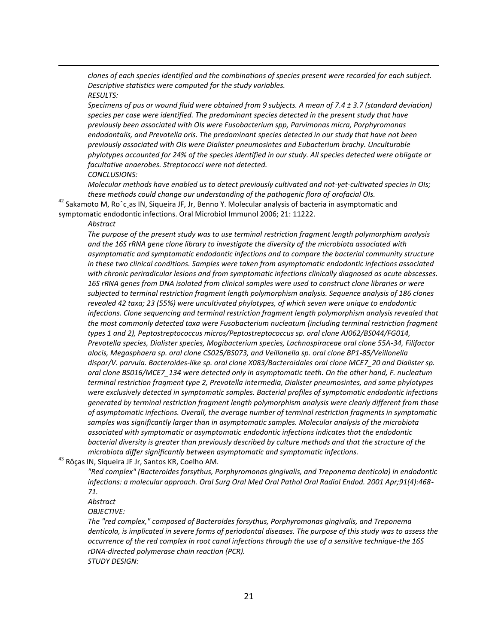*clones of each species identified and the combinations of species present were recorded for each subject. Descriptive statistics were computed for the study variables. RESULTS:* 

*Specimens of pus or wound fluid were obtained from 9 subjects. A mean of 7.4 ± 3.7 (standard deviation)*  species per case were identified. The predominant species detected in the present study that have *previously been associated with OIs were Fusobacterium spp, Parvimonas micra, Porphyromonas endodontalis, and Prevotella oris. The predominant species detected in our study that have not been previously associated with OIs were Dialister pneumosintes and Eubacterium brachy. Unculturable phylotypes accounted for 24% of the species identified in our study. All species detected were obligate or facultative anaerobes. Streptococci were not detected.*

*CONCLUSIONS:* 

*Molecular methods have enabled us to detect previously cultivated and not-yet-cultivated species in OIs; these methods could change our understanding of the pathogenic flora of orofacial OIs.*

 $42$  Sakamoto M, Ro^c, as IN, Siqueira JF, Jr, Benno Y. Molecular analysis of bacteria in asymptomatic and symptomatic endodontic infections. Oral Microbiol Immunol 2006; 21: 11222.

#### *Abstract*

 $\overline{a}$ 

*The purpose of the present study was to use terminal restriction fragment length polymorphism analysis and the 16S rRNA gene clone library to investigate the diversity of the microbiota associated with asymptomatic and symptomatic endodontic infections and to compare the bacterial community structure in these two clinical conditions. Samples were taken from asymptomatic endodontic infections associated with chronic periradicular lesions and from symptomatic infections clinically diagnosed as acute abscesses. 16S rRNA genes from DNA isolated from clinical samples were used to construct clone libraries or were subjected to terminal restriction fragment length polymorphism analysis. Sequence analysis of 186 clones revealed 42 taxa; 23 (55%) were uncultivated phylotypes, of which seven were unique to endodontic infections. Clone sequencing and terminal restriction fragment length polymorphism analysis revealed that the most commonly detected taxa were Fusobacterium nucleatum (including terminal restriction fragment types 1 and 2), Peptostreptococcus micros/Peptostreptococcus sp. oral clone AJ062/BS044/FG014, Prevotella species, Dialister species, Mogibacterium species, Lachnospiraceae oral clone 55A-34, Filifactor alocis, Megasphaera sp. oral clone CS025/BS073, and Veillonella sp. oral clone BP1-85/Veillonella dispar/V. parvula. Bacteroides-like sp. oral clone X083/Bacteroidales oral clone MCE7\_20 and Dialister sp. oral clone BS016/MCE7\_134 were detected only in asymptomatic teeth. On the other hand, F. nucleatum terminal restriction fragment type 2, Prevotella intermedia, Dialister pneumosintes, and some phylotypes were exclusively detected in symptomatic samples. Bacterial profiles of symptomatic endodontic infections generated by terminal restriction fragment length polymorphism analysis were clearly different from those of asymptomatic infections. Overall, the average number of terminal restriction fragments in symptomatic samples was significantly larger than in asymptomatic samples. Molecular analysis of the microbiota associated with symptomatic or asymptomatic endodontic infections indicates that the endodontic bacterial diversity is greater than previously described by culture methods and that the structure of the microbiota differ significantly between asymptomatic and symptomatic infections.*

<sup>43</sup> Rôças IN, Siqueira JF Jr, Santos KR, Coelho AM.

*"Red complex" (Bacteroides forsythus, Porphyromonas gingivalis, and Treponema denticola) in endodontic infections: a molecular approach. Oral Surg Oral Med Oral Pathol Oral Radiol Endod. 2001 Apr;91(4):468- 71.* 

*Abstract* 

*OBJECTIVE:* 

*The "red complex," composed of Bacteroides forsythus, Porphyromonas gingivalis, and Treponema denticola, is implicated in severe forms of periodontal diseases. The purpose of this study was to assess the occurrence of the red complex in root canal infections through the use of a sensitive technique-the 16S rDNA-directed polymerase chain reaction (PCR). STUDY DESIGN:*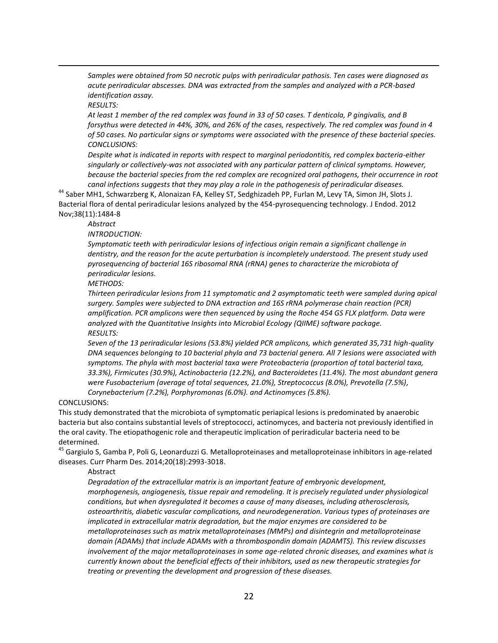*Samples were obtained from 50 necrotic pulps with periradicular pathosis. Ten cases were diagnosed as acute periradicular abscesses. DNA was extracted from the samples and analyzed with a PCR-based identification assay.* 

*RESULTS:* 

 $\overline{a}$ 

*At least 1 member of the red complex was found in 33 of 50 cases. T denticola, P gingivalis, and B forsythus were detected in 44%, 30%, and 26% of the cases, respectively. The red complex was found in 4 of 50 cases. No particular signs or symptoms were associated with the presence of these bacterial species. CONCLUSIONS:* 

*Despite what is indicated in reports with respect to marginal periodontitis, red complex bacteria-either singularly or collectively-was not associated with any particular pattern of clinical symptoms. However, because the bacterial species from the red complex are recognized oral pathogens, their occurrence in root canal infections suggests that they may play a role in the pathogenesis of periradicular diseases.*

<sup>44</sup> Saber MH1, Schwarzberg K, Alonaizan FA, Kelley ST, Sedghizadeh PP, Furlan M, Levy TA, Simon JH, Slots J. Bacterial flora of dental periradicular lesions analyzed by the 454-pyrosequencing technology. J Endod. 2012 Nov;38(11):1484-8

*Abstract* 

*INTRODUCTION:* 

*Symptomatic teeth with periradicular lesions of infectious origin remain a significant challenge in dentistry, and the reason for the acute perturbation is incompletely understood. The present study used pyrosequencing of bacterial 16S ribosomal RNA (rRNA) genes to characterize the microbiota of periradicular lesions.* 

*METHODS:* 

*Thirteen periradicular lesions from 11 symptomatic and 2 asymptomatic teeth were sampled during apical surgery. Samples were subjected to DNA extraction and 16S rRNA polymerase chain reaction (PCR) amplification. PCR amplicons were then sequenced by using the Roche 454 GS FLX platform. Data were analyzed with the Quantitative Insights into Microbial Ecology (QIIME) software package. RESULTS:* 

*Seven of the 13 periradicular lesions (53.8%) yielded PCR amplicons, which generated 35,731 high-quality DNA sequences belonging to 10 bacterial phyla and 73 bacterial genera. All 7 lesions were associated with symptoms. The phyla with most bacterial taxa were Proteobacteria (proportion of total bacterial taxa, 33.3%), Firmicutes (30.9%), Actinobacteria (12.2%), and Bacteroidetes (11.4%). The most abundant genera were Fusobacterium (average of total sequences, 21.0%), Streptococcus (8.0%), Prevotella (7.5%), Corynebacterium (7.2%), Porphyromonas (6.0%). and Actinomyces (5.8%).* 

# CONCLUSIONS:

This study demonstrated that the microbiota of symptomatic periapical lesions is predominated by anaerobic bacteria but also contains substantial levels of streptococci, actinomyces, and bacteria not previously identified in the oral cavity. The etiopathogenic role and therapeutic implication of periradicular bacteria need to be determined.

<sup>45</sup> Gargiulo S, Gamba P, Poli G, Leonarduzzi G. Metalloproteinases and metalloproteinase inhibitors in age-related diseases. Curr Pharm Des. 2014;20(18):2993-3018.

# Abstract

*Degradation of the extracellular matrix is an important feature of embryonic development, morphogenesis, angiogenesis, tissue repair and remodeling. It is precisely regulated under physiological conditions, but when dysregulated it becomes a cause of many diseases, including atherosclerosis, osteoarthritis, diabetic vascular complications, and neurodegeneration. Various types of proteinases are implicated in extracellular matrix degradation, but the major enzymes are considered to be metalloproteinases such as matrix metalloproteinases (MMPs) and disintegrin and metalloproteinase domain (ADAMs) that include ADAMs with a thrombospondin domain (ADAMTS). This review discusses involvement of the major metalloproteinases in some age-related chronic diseases, and examines what is currently known about the beneficial effects of their inhibitors, used as new therapeutic strategies for treating or preventing the development and progression of these diseases.*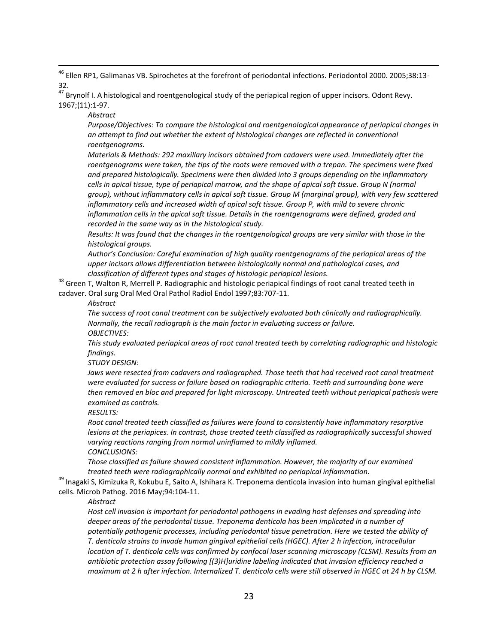$\overline{a}$ <sup>46</sup> Ellen RP1, Galimanas VB. Spirochetes at the forefront of periodontal infections. Periodontol 2000. 2005;38:13-32.

<sup>47</sup> Brynolf I. A histological and roentgenological study of the periapical region of upper incisors. Odont Revy. 1967;(11):1-97.

*Abstract*

*Purpose/Objectives: To compare the histological and roentgenological appearance of periapical changes in an attempt to find out whether the extent of histological changes are reflected in conventional roentgenograms.* 

*Materials & Methods: 292 maxillary incisors obtained from cadavers were used. Immediately after the roentgenograms were taken, the tips of the roots were removed with a trepan. The specimens were fixed and prepared histologically. Specimens were then divided into 3 groups depending on the inflammatory cells in apical tissue, type of periapical marrow, and the shape of apical soft tissue. Group N (normal group), without inflammatory cells in apical soft tissue. Group M (marginal group), with very few scattered inflammatory cells and increased width of apical soft tissue. Group P, with mild to severe chronic inflammation cells in the apical soft tissue. Details in the roentgenograms were defined, graded and recorded in the same way as in the histological study.* 

*Results: It was found that the changes in the roentgenological groups are very similar with those in the histological groups.* 

*Author's Conclusion: Careful examination of high quality roentgenograms of the periapical areas of the upper incisors allows differentiation between histologically normal and pathological cases, and classification of different types and stages of histologic periapical lesions.*

48 Green T, Walton R, Merrell P. Radiographic and histologic periapical findings of root canal treated teeth in cadaver. Oral surg Oral Med Oral Pathol Radiol Endol 1997;83:707-11.

*Abstract*

*The success of root canal treatment can be subjectively evaluated both clinically and radiographically. Normally, the recall radiograph is the main factor in evaluating success or failure. OBJECTIVES:* 

*This study evaluated periapical areas of root canal treated teeth by correlating radiographic and histologic findings.*

*STUDY DESIGN:* 

Jaws were resected from cadavers and radiographed. Those teeth that had received root canal treatment *were evaluated for success or failure based on radiographic criteria. Teeth and surrounding bone were then removed en bloc and prepared for light microscopy. Untreated teeth without periapical pathosis were examined as controls.*

*RESULTS:* 

*Root canal treated teeth classified as failures were found to consistently have inflammatory resorptive lesions at the periapices. In contrast, those treated teeth classified as radiographically successful showed varying reactions ranging from normal uninflamed to mildly inflamed. CONCLUSIONS:* 

*Those classified as failure showed consistent inflammation. However, the majority of our examined treated teeth were radiographically normal and exhibited no periapical inflammation.*

<sup>49</sup> Inagaki S, Kimizuka R, Kokubu E, Saito A, Ishihara K. Treponema denticola invasion into human gingival epithelial cells. Microb Pathog. 2016 May;94:104-11.

*Abstract* 

*Host cell invasion is important for periodontal pathogens in evading host defenses and spreading into deeper areas of the periodontal tissue. Treponema denticola has been implicated in a number of potentially pathogenic processes, including periodontal tissue penetration. Here we tested the ability of T. denticola strains to invade human gingival epithelial cells (HGEC). After 2 h infection, intracellular location of T. denticola cells was confirmed by confocal laser scanning microscopy (CLSM). Results from an antibiotic protection assay following [(3)H]uridine labeling indicated that invasion efficiency reached a maximum at 2 h after infection. Internalized T. denticola cells were still observed in HGEC at 24 h by CLSM.*